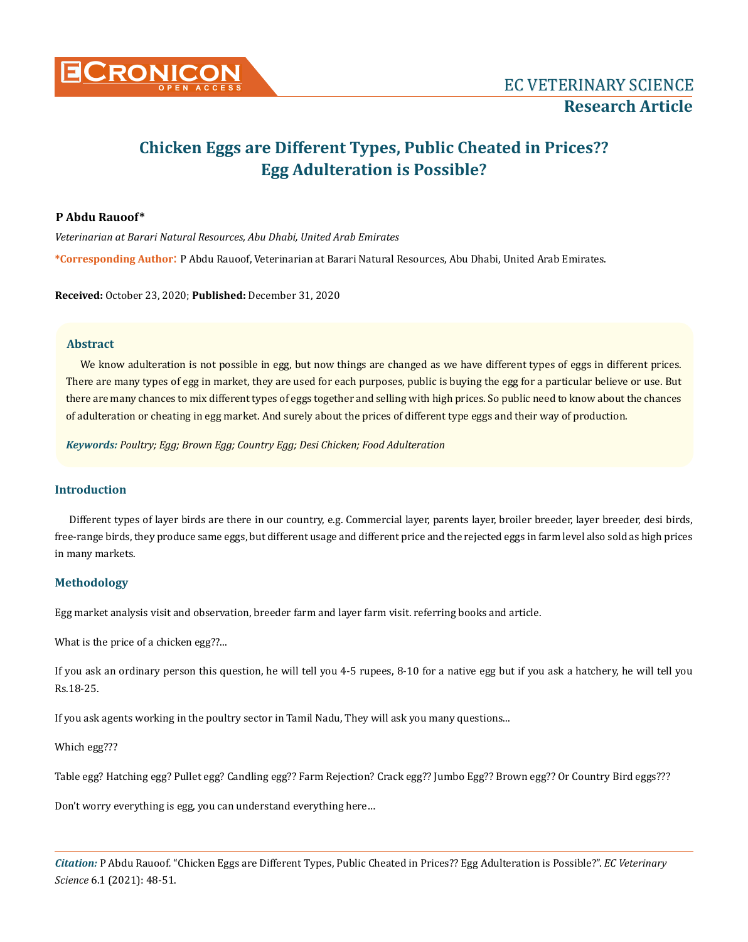

# **Chicken Eggs are Different Types, Public Cheated in Prices?? Egg Adulteration is Possible?**

# **P Abdu Rauoof\***

*Veterinarian at Barari Natural Resources, Abu Dhabi, United Arab Emirates* **\*Corresponding Author**: P Abdu Rauoof, Veterinarian at Barari Natural Resources, Abu Dhabi, United Arab Emirates.

**Received:** October 23, 2020; **Published:** December 31, 2020

# **Abstract**

We know adulteration is not possible in egg, but now things are changed as we have different types of eggs in different prices. There are many types of egg in market, they are used for each purposes, public is buying the egg for a particular believe or use. But there are many chances to mix different types of eggs together and selling with high prices. So public need to know about the chances of adulteration or cheating in egg market. And surely about the prices of different type eggs and their way of production.

*Keywords: Poultry; Egg; Brown Egg; Country Egg; Desi Chicken; Food Adulteration*

# **Introduction**

Different types of layer birds are there in our country, e.g. Commercial layer, parents layer, broiler breeder, layer breeder, desi birds, free-range birds, they produce same eggs, but different usage and different price and the rejected eggs in farm level also sold as high prices in many markets.

# **Methodology**

Egg market analysis visit and observation, breeder farm and layer farm visit. referring books and article.

What is the price of a chicken egg??...

If you ask an ordinary person this question, he will tell you 4-5 rupees, 8-10 for a native egg but if you ask a hatchery, he will tell you Rs.18-25.

If you ask agents working in the poultry sector in Tamil Nadu, They will ask you many questions...

Which egg???

Table egg? Hatching egg? Pullet egg? Candling egg?? Farm Rejection? Crack egg?? Jumbo Egg?? Brown egg?? Or Country Bird eggs???

Don't worry everything is egg, you can understand everything here…

*Citation:* P Abdu Rauoof*.* "Chicken Eggs are Different Types, Public Cheated in Prices?? Egg Adulteration is Possible?". *EC Veterinary Science* 6.1 (2021): 48-51.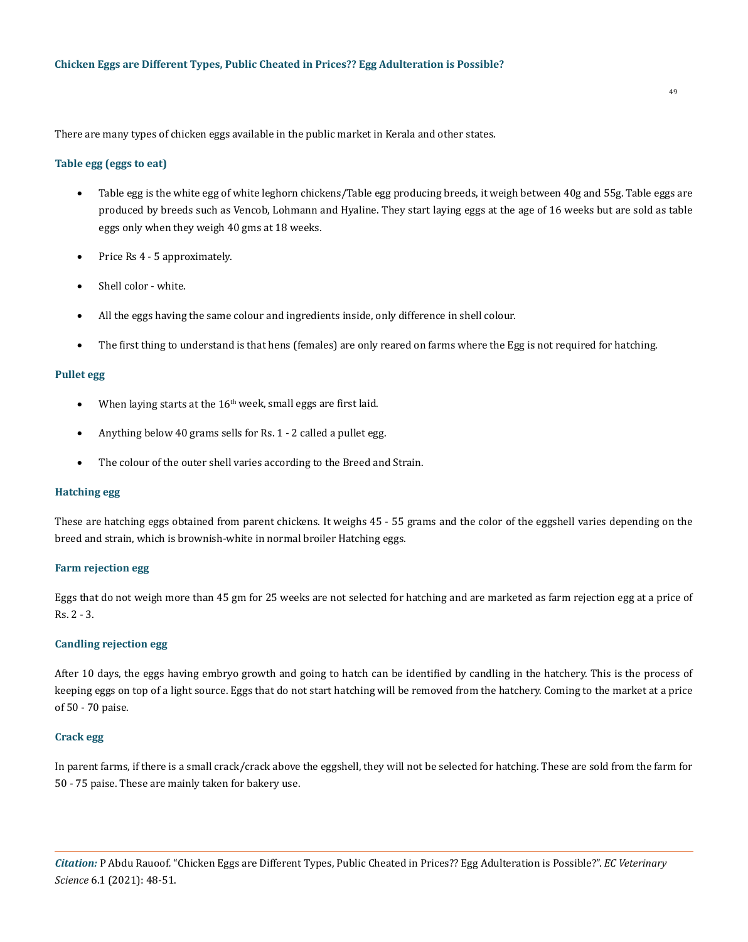There are many types of chicken eggs available in the public market in Kerala and other states.

## **Table egg (eggs to eat)**

- Table egg is the white egg of white leghorn chickens/Table egg producing breeds, it weigh between 40g and 55g. Table eggs are produced by breeds such as Vencob, Lohmann and Hyaline. They start laying eggs at the age of 16 weeks but are sold as table eggs only when they weigh 40 gms at 18 weeks.
- Price Rs 4 5 approximately.
- Shell color white.
- All the eggs having the same colour and ingredients inside, only difference in shell colour.
- The first thing to understand is that hens (females) are only reared on farms where the Egg is not required for hatching.

## **Pullet egg**

- When laying starts at the  $16<sup>th</sup>$  week, small eggs are first laid.
- Anything below 40 grams sells for Rs.  $1 2$  called a pullet egg.
- The colour of the outer shell varies according to the Breed and Strain.

## **Hatching egg**

These are hatching eggs obtained from parent chickens. It weighs 45 - 55 grams and the color of the eggshell varies depending on the breed and strain, which is brownish-white in normal broiler Hatching eggs.

## **Farm rejection egg**

Eggs that do not weigh more than 45 gm for 25 weeks are not selected for hatching and are marketed as farm rejection egg at a price of Rs. 2 - 3.

# **Candling rejection egg**

After 10 days, the eggs having embryo growth and going to hatch can be identified by candling in the hatchery. This is the process of keeping eggs on top of a light source. Eggs that do not start hatching will be removed from the hatchery. Coming to the market at a price of 50 - 70 paise.

#### **Crack egg**

In parent farms, if there is a small crack/crack above the eggshell, they will not be selected for hatching. These are sold from the farm for 50 - 75 paise. These are mainly taken for bakery use.

*Citation:* P Abdu Rauoof*.* "Chicken Eggs are Different Types, Public Cheated in Prices?? Egg Adulteration is Possible?". *EC Veterinary Science* 6.1 (2021): 48-51.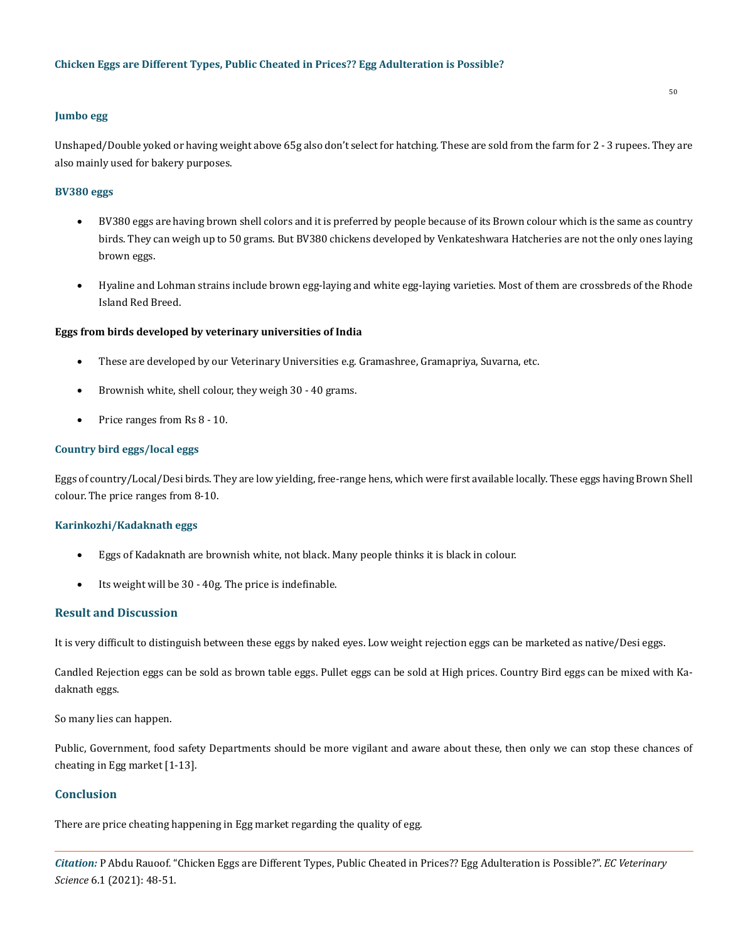# **Jumbo egg**

Unshaped/Double yoked or having weight above 65g also don't select for hatching. These are sold from the farm for 2 - 3 rupees. They are also mainly used for bakery purposes.

# **BV380 eggs**

- BV380 eggs are having brown shell colors and it is preferred by people because of its Brown colour which is the same as country birds. They can weigh up to 50 grams. But BV380 chickens developed by Venkateshwara Hatcheries are not the only ones laying brown eggs.
- • Hyaline and Lohman strains include brown egg-laying and white egg-laying varieties. Most of them are crossbreds of the Rhode Island Red Breed.

## **Eggs from birds developed by veterinary universities of India**

- These are developed by our Veterinary Universities e.g. Gramashree, Gramapriya, Suvarna, etc.
- Brownish white, shell colour, they weigh 30 40 grams.
- Price ranges from Rs 8 10.

# **Country bird eggs/local eggs**

Eggs of country/Local/Desi birds. They are low yielding, free-range hens, which were first available locally. These eggs having Brown Shell colour. The price ranges from 8-10.

## **Karinkozhi/Kadaknath eggs**

- Eggs of Kadaknath are brownish white, not black. Many people thinks it is black in colour.
- Its weight will be 30 40g. The price is indefinable.

# **Result and Discussion**

It is very difficult to distinguish between these eggs by naked eyes. Low weight rejection eggs can be marketed as native/Desi eggs.

Candled Rejection eggs can be sold as brown table eggs. Pullet eggs can be sold at High prices. Country Bird eggs can be mixed with Kadaknath eggs.

So many lies can happen.

Public, Government, food safety Departments should be more vigilant and aware about these, then only we can stop these chances of cheating in Egg market [1-13].

## **Conclusion**

There are price cheating happening in Egg market regarding the quality of egg.

*Citation:* P Abdu Rauoof*.* "Chicken Eggs are Different Types, Public Cheated in Prices?? Egg Adulteration is Possible?". *EC Veterinary Science* 6.1 (2021): 48-51.